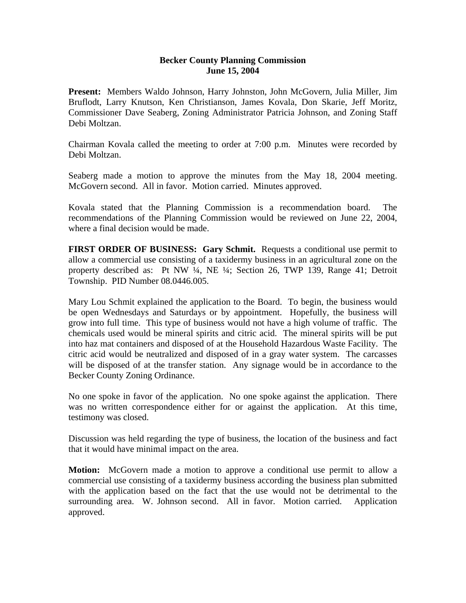## **Becker County Planning Commission June 15, 2004**

**Present:** Members Waldo Johnson, Harry Johnston, John McGovern, Julia Miller, Jim Bruflodt, Larry Knutson, Ken Christianson, James Kovala, Don Skarie, Jeff Moritz, Commissioner Dave Seaberg, Zoning Administrator Patricia Johnson, and Zoning Staff Debi Moltzan.

Chairman Kovala called the meeting to order at 7:00 p.m. Minutes were recorded by Debi Moltzan.

Seaberg made a motion to approve the minutes from the May 18, 2004 meeting. McGovern second. All in favor. Motion carried. Minutes approved.

Kovala stated that the Planning Commission is a recommendation board. The recommendations of the Planning Commission would be reviewed on June 22, 2004, where a final decision would be made.

**FIRST ORDER OF BUSINESS: Gary Schmit.** Requests a conditional use permit to allow a commercial use consisting of a taxidermy business in an agricultural zone on the property described as: Pt NW ¼, NE ¼; Section 26, TWP 139, Range 41; Detroit Township. PID Number 08.0446.005.

Mary Lou Schmit explained the application to the Board. To begin, the business would be open Wednesdays and Saturdays or by appointment. Hopefully, the business will grow into full time. This type of business would not have a high volume of traffic. The chemicals used would be mineral spirits and citric acid. The mineral spirits will be put into haz mat containers and disposed of at the Household Hazardous Waste Facility. The citric acid would be neutralized and disposed of in a gray water system. The carcasses will be disposed of at the transfer station. Any signage would be in accordance to the Becker County Zoning Ordinance.

No one spoke in favor of the application. No one spoke against the application. There was no written correspondence either for or against the application. At this time, testimony was closed.

Discussion was held regarding the type of business, the location of the business and fact that it would have minimal impact on the area.

**Motion:** McGovern made a motion to approve a conditional use permit to allow a commercial use consisting of a taxidermy business according the business plan submitted with the application based on the fact that the use would not be detrimental to the surrounding area. W. Johnson second. All in favor. Motion carried. Application approved.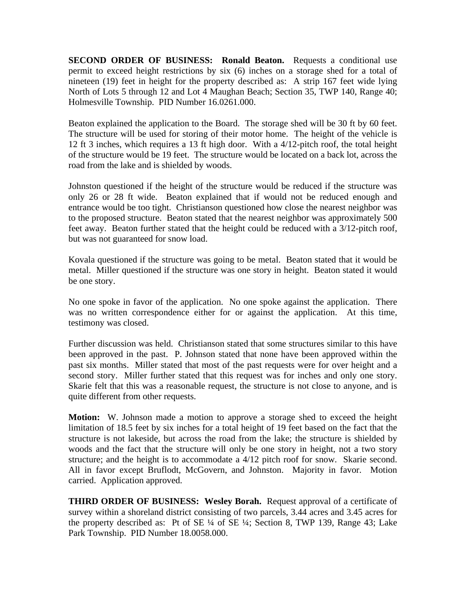**SECOND ORDER OF BUSINESS: Ronald Beaton.** Requests a conditional use permit to exceed height restrictions by six (6) inches on a storage shed for a total of nineteen (19) feet in height for the property described as: A strip 167 feet wide lying North of Lots 5 through 12 and Lot 4 Maughan Beach; Section 35, TWP 140, Range 40; Holmesville Township. PID Number 16.0261.000.

Beaton explained the application to the Board. The storage shed will be 30 ft by 60 feet. The structure will be used for storing of their motor home. The height of the vehicle is 12 ft 3 inches, which requires a 13 ft high door. With a 4/12-pitch roof, the total height of the structure would be 19 feet. The structure would be located on a back lot, across the road from the lake and is shielded by woods.

Johnston questioned if the height of the structure would be reduced if the structure was only 26 or 28 ft wide. Beaton explained that if would not be reduced enough and entrance would be too tight. Christianson questioned how close the nearest neighbor was to the proposed structure. Beaton stated that the nearest neighbor was approximately 500 feet away. Beaton further stated that the height could be reduced with a 3/12-pitch roof, but was not guaranteed for snow load.

Kovala questioned if the structure was going to be metal. Beaton stated that it would be metal. Miller questioned if the structure was one story in height. Beaton stated it would be one story.

No one spoke in favor of the application. No one spoke against the application. There was no written correspondence either for or against the application. At this time, testimony was closed.

Further discussion was held. Christianson stated that some structures similar to this have been approved in the past. P. Johnson stated that none have been approved within the past six months. Miller stated that most of the past requests were for over height and a second story. Miller further stated that this request was for inches and only one story. Skarie felt that this was a reasonable request, the structure is not close to anyone, and is quite different from other requests.

**Motion:** W. Johnson made a motion to approve a storage shed to exceed the height limitation of 18.5 feet by six inches for a total height of 19 feet based on the fact that the structure is not lakeside, but across the road from the lake; the structure is shielded by woods and the fact that the structure will only be one story in height, not a two story structure; and the height is to accommodate a 4/12 pitch roof for snow. Skarie second. All in favor except Bruflodt, McGovern, and Johnston. Majority in favor. Motion carried. Application approved.

**THIRD ORDER OF BUSINESS: Wesley Borah.** Request approval of a certificate of survey within a shoreland district consisting of two parcels, 3.44 acres and 3.45 acres for the property described as: Pt of SE ¼ of SE ¼; Section 8, TWP 139, Range 43; Lake Park Township. PID Number 18.0058.000.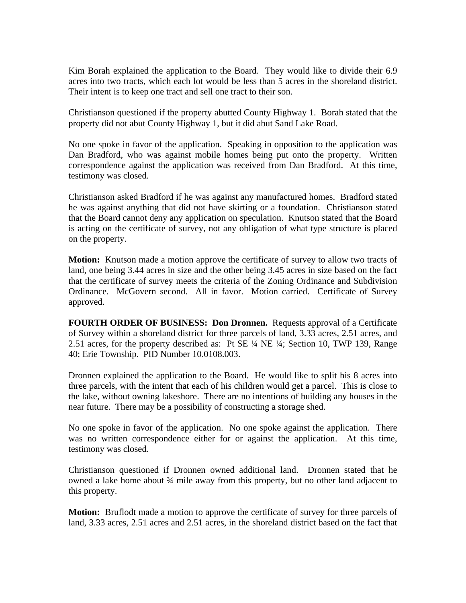Kim Borah explained the application to the Board. They would like to divide their 6.9 acres into two tracts, which each lot would be less than 5 acres in the shoreland district. Their intent is to keep one tract and sell one tract to their son.

Christianson questioned if the property abutted County Highway 1. Borah stated that the property did not abut County Highway 1, but it did abut Sand Lake Road.

No one spoke in favor of the application. Speaking in opposition to the application was Dan Bradford, who was against mobile homes being put onto the property. Written correspondence against the application was received from Dan Bradford. At this time, testimony was closed.

Christianson asked Bradford if he was against any manufactured homes. Bradford stated he was against anything that did not have skirting or a foundation. Christianson stated that the Board cannot deny any application on speculation. Knutson stated that the Board is acting on the certificate of survey, not any obligation of what type structure is placed on the property.

**Motion:** Knutson made a motion approve the certificate of survey to allow two tracts of land, one being 3.44 acres in size and the other being 3.45 acres in size based on the fact that the certificate of survey meets the criteria of the Zoning Ordinance and Subdivision Ordinance. McGovern second. All in favor. Motion carried. Certificate of Survey approved.

**FOURTH ORDER OF BUSINESS: Don Dronnen.** Requests approval of a Certificate of Survey within a shoreland district for three parcels of land, 3.33 acres, 2.51 acres, and 2.51 acres, for the property described as: Pt SE ¼ NE ¼; Section 10, TWP 139, Range 40; Erie Township. PID Number 10.0108.003.

Dronnen explained the application to the Board. He would like to split his 8 acres into three parcels, with the intent that each of his children would get a parcel. This is close to the lake, without owning lakeshore. There are no intentions of building any houses in the near future. There may be a possibility of constructing a storage shed.

No one spoke in favor of the application. No one spoke against the application. There was no written correspondence either for or against the application. At this time, testimony was closed.

Christianson questioned if Dronnen owned additional land. Dronnen stated that he owned a lake home about  $\frac{3}{4}$  mile away from this property, but no other land adjacent to this property.

**Motion:** Bruflodt made a motion to approve the certificate of survey for three parcels of land, 3.33 acres, 2.51 acres and 2.51 acres, in the shoreland district based on the fact that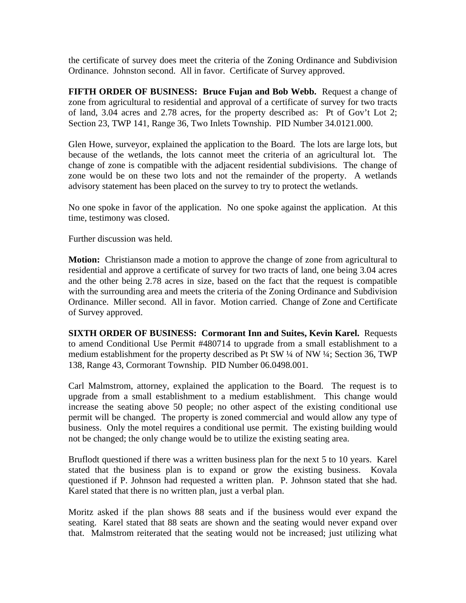the certificate of survey does meet the criteria of the Zoning Ordinance and Subdivision Ordinance. Johnston second. All in favor. Certificate of Survey approved.

**FIFTH ORDER OF BUSINESS: Bruce Fujan and Bob Webb.** Request a change of zone from agricultural to residential and approval of a certificate of survey for two tracts of land, 3.04 acres and 2.78 acres, for the property described as: Pt of Gov't Lot 2; Section 23, TWP 141, Range 36, Two Inlets Township. PID Number 34.0121.000.

Glen Howe, surveyor, explained the application to the Board. The lots are large lots, but because of the wetlands, the lots cannot meet the criteria of an agricultural lot. The change of zone is compatible with the adjacent residential subdivisions. The change of zone would be on these two lots and not the remainder of the property. A wetlands advisory statement has been placed on the survey to try to protect the wetlands.

No one spoke in favor of the application. No one spoke against the application. At this time, testimony was closed.

Further discussion was held.

**Motion:** Christianson made a motion to approve the change of zone from agricultural to residential and approve a certificate of survey for two tracts of land, one being 3.04 acres and the other being 2.78 acres in size, based on the fact that the request is compatible with the surrounding area and meets the criteria of the Zoning Ordinance and Subdivision Ordinance. Miller second. All in favor. Motion carried. Change of Zone and Certificate of Survey approved.

**SIXTH ORDER OF BUSINESS: Cormorant Inn and Suites, Kevin Karel.** Requests to amend Conditional Use Permit #480714 to upgrade from a small establishment to a medium establishment for the property described as Pt SW ¼ of NW ¼; Section 36, TWP 138, Range 43, Cormorant Township. PID Number 06.0498.001.

Carl Malmstrom, attorney, explained the application to the Board. The request is to upgrade from a small establishment to a medium establishment. This change would increase the seating above 50 people; no other aspect of the existing conditional use permit will be changed. The property is zoned commercial and would allow any type of business. Only the motel requires a conditional use permit. The existing building would not be changed; the only change would be to utilize the existing seating area.

Bruflodt questioned if there was a written business plan for the next 5 to 10 years. Karel stated that the business plan is to expand or grow the existing business. Kovala questioned if P. Johnson had requested a written plan. P. Johnson stated that she had. Karel stated that there is no written plan, just a verbal plan.

Moritz asked if the plan shows 88 seats and if the business would ever expand the seating. Karel stated that 88 seats are shown and the seating would never expand over that. Malmstrom reiterated that the seating would not be increased; just utilizing what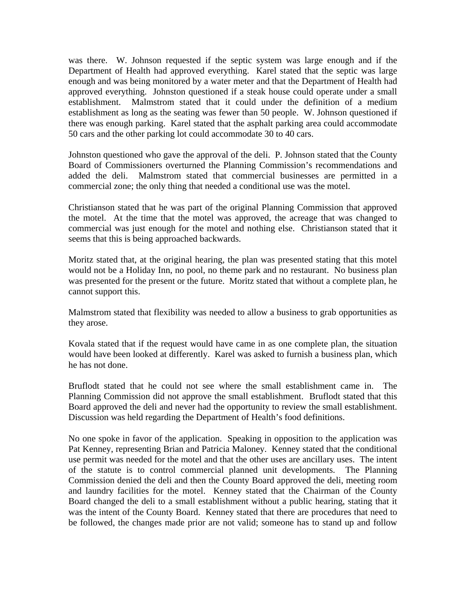was there. W. Johnson requested if the septic system was large enough and if the Department of Health had approved everything. Karel stated that the septic was large enough and was being monitored by a water meter and that the Department of Health had approved everything. Johnston questioned if a steak house could operate under a small establishment. Malmstrom stated that it could under the definition of a medium establishment as long as the seating was fewer than 50 people. W. Johnson questioned if there was enough parking. Karel stated that the asphalt parking area could accommodate 50 cars and the other parking lot could accommodate 30 to 40 cars.

Johnston questioned who gave the approval of the deli. P. Johnson stated that the County Board of Commissioners overturned the Planning Commission's recommendations and added the deli. Malmstrom stated that commercial businesses are permitted in a commercial zone; the only thing that needed a conditional use was the motel.

Christianson stated that he was part of the original Planning Commission that approved the motel. At the time that the motel was approved, the acreage that was changed to commercial was just enough for the motel and nothing else. Christianson stated that it seems that this is being approached backwards.

Moritz stated that, at the original hearing, the plan was presented stating that this motel would not be a Holiday Inn, no pool, no theme park and no restaurant. No business plan was presented for the present or the future. Moritz stated that without a complete plan, he cannot support this.

Malmstrom stated that flexibility was needed to allow a business to grab opportunities as they arose.

Kovala stated that if the request would have came in as one complete plan, the situation would have been looked at differently. Karel was asked to furnish a business plan, which he has not done.

Bruflodt stated that he could not see where the small establishment came in. The Planning Commission did not approve the small establishment. Bruflodt stated that this Board approved the deli and never had the opportunity to review the small establishment. Discussion was held regarding the Department of Health's food definitions.

No one spoke in favor of the application. Speaking in opposition to the application was Pat Kenney, representing Brian and Patricia Maloney. Kenney stated that the conditional use permit was needed for the motel and that the other uses are ancillary uses. The intent of the statute is to control commercial planned unit developments. The Planning Commission denied the deli and then the County Board approved the deli, meeting room and laundry facilities for the motel. Kenney stated that the Chairman of the County Board changed the deli to a small establishment without a public hearing, stating that it was the intent of the County Board. Kenney stated that there are procedures that need to be followed, the changes made prior are not valid; someone has to stand up and follow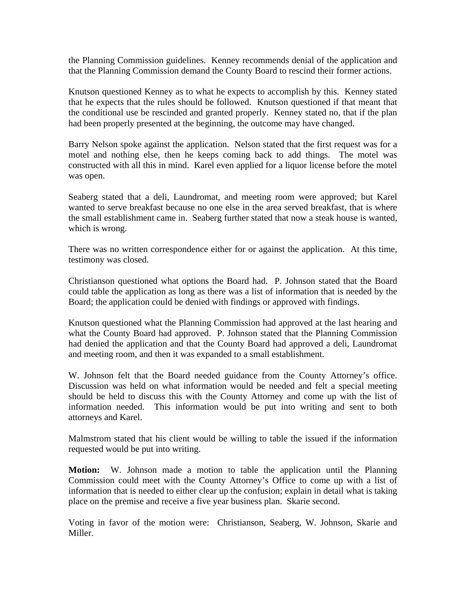the Planning Commission guidelines. Kenney recommends denial of the application and that the Planning Commission demand the County Board to rescind their former actions.

Knutson questioned Kenney as to what he expects to accomplish by this. Kenney stated that he expects that the rules should be followed. Knutson questioned if that meant that the conditional use be rescinded and granted properly. Kenney stated no, that if the plan had been properly presented at the beginning, the outcome may have changed.

Barry Nelson spoke against the application. Nelson stated that the first request was for a motel and nothing else, then he keeps coming back to add things. The motel was constructed with all this in mind. Karel even applied for a liquor license before the motel was open.

Seaberg stated that a deli, Laundromat, and meeting room were approved; but Karel wanted to serve breakfast because no one else in the area served breakfast, that is where the small establishment came in. Seaberg further stated that now a steak house is wanted, which is wrong.

There was no written correspondence either for or against the application. At this time, testimony was closed.

Christianson questioned what options the Board had. P. Johnson stated that the Board could table the application as long as there was a list of information that is needed by the Board; the application could be denied with findings or approved with findings.

Knutson questioned what the Planning Commission had approved at the last hearing and what the County Board had approved. P. Johnson stated that the Planning Commission had denied the application and that the County Board had approved a deli, Laundromat and meeting room, and then it was expanded to a small establishment.

W. Johnson felt that the Board needed guidance from the County Attorney's office. Discussion was held on what information would be needed and felt a special meeting should be held to discuss this with the County Attorney and come up with the list of information needed. This information would be put into writing and sent to both attorneys and Karel.

Malmstrom stated that his client would be willing to table the issued if the information requested would be put into writing.

**Motion:** W. Johnson made a motion to table the application until the Planning Commission could meet with the County Attorney's Office to come up with a list of information that is needed to either clear up the confusion; explain in detail what is taking place on the premise and receive a five year business plan. Skarie second.

Voting in favor of the motion were: Christianson, Seaberg, W. Johnson, Skarie and Miller.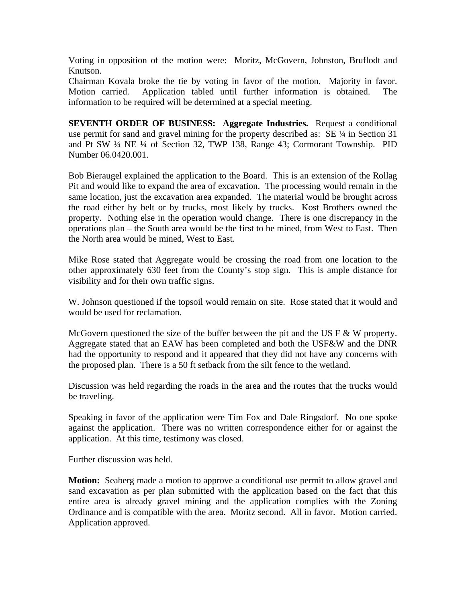Voting in opposition of the motion were: Moritz, McGovern, Johnston, Bruflodt and Knutson.

Chairman Kovala broke the tie by voting in favor of the motion. Majority in favor. Motion carried. Application tabled until further information is obtained. The information to be required will be determined at a special meeting.

**SEVENTH ORDER OF BUSINESS: Aggregate Industries.** Request a conditional use permit for sand and gravel mining for the property described as: SE ¼ in Section 31 and Pt SW ¼ NE ¼ of Section 32, TWP 138, Range 43; Cormorant Township. PID Number 06.0420.001.

Bob Bieraugel explained the application to the Board. This is an extension of the Rollag Pit and would like to expand the area of excavation. The processing would remain in the same location, just the excavation area expanded. The material would be brought across the road either by belt or by trucks, most likely by trucks. Kost Brothers owned the property. Nothing else in the operation would change. There is one discrepancy in the operations plan – the South area would be the first to be mined, from West to East. Then the North area would be mined, West to East.

Mike Rose stated that Aggregate would be crossing the road from one location to the other approximately 630 feet from the County's stop sign. This is ample distance for visibility and for their own traffic signs.

W. Johnson questioned if the topsoil would remain on site. Rose stated that it would and would be used for reclamation.

McGovern questioned the size of the buffer between the pit and the US  $F \& W$  property. Aggregate stated that an EAW has been completed and both the USF&W and the DNR had the opportunity to respond and it appeared that they did not have any concerns with the proposed plan. There is a 50 ft setback from the silt fence to the wetland.

Discussion was held regarding the roads in the area and the routes that the trucks would be traveling.

Speaking in favor of the application were Tim Fox and Dale Ringsdorf. No one spoke against the application. There was no written correspondence either for or against the application. At this time, testimony was closed.

Further discussion was held.

**Motion:** Seaberg made a motion to approve a conditional use permit to allow gravel and sand excavation as per plan submitted with the application based on the fact that this entire area is already gravel mining and the application complies with the Zoning Ordinance and is compatible with the area. Moritz second. All in favor. Motion carried. Application approved.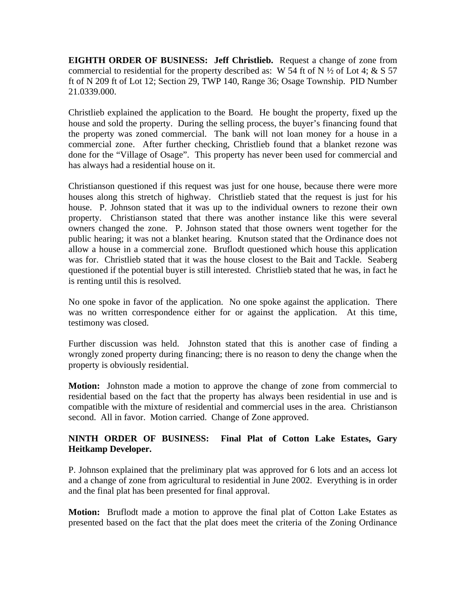**EIGHTH ORDER OF BUSINESS: Jeff Christlieb.** Request a change of zone from commercial to residential for the property described as: W 54 ft of N  $\frac{1}{2}$  of Lot 4; & S 57 ft of N 209 ft of Lot 12; Section 29, TWP 140, Range 36; Osage Township. PID Number 21.0339.000.

Christlieb explained the application to the Board. He bought the property, fixed up the house and sold the property. During the selling process, the buyer's financing found that the property was zoned commercial. The bank will not loan money for a house in a commercial zone. After further checking, Christlieb found that a blanket rezone was done for the "Village of Osage". This property has never been used for commercial and has always had a residential house on it.

Christianson questioned if this request was just for one house, because there were more houses along this stretch of highway. Christlieb stated that the request is just for his house. P. Johnson stated that it was up to the individual owners to rezone their own property. Christianson stated that there was another instance like this were several owners changed the zone. P. Johnson stated that those owners went together for the public hearing; it was not a blanket hearing. Knutson stated that the Ordinance does not allow a house in a commercial zone. Bruflodt questioned which house this application was for. Christlieb stated that it was the house closest to the Bait and Tackle. Seaberg questioned if the potential buyer is still interested. Christlieb stated that he was, in fact he is renting until this is resolved.

No one spoke in favor of the application. No one spoke against the application. There was no written correspondence either for or against the application. At this time, testimony was closed.

Further discussion was held. Johnston stated that this is another case of finding a wrongly zoned property during financing; there is no reason to deny the change when the property is obviously residential.

**Motion:** Johnston made a motion to approve the change of zone from commercial to residential based on the fact that the property has always been residential in use and is compatible with the mixture of residential and commercial uses in the area. Christianson second. All in favor. Motion carried. Change of Zone approved.

## **NINTH ORDER OF BUSINESS: Final Plat of Cotton Lake Estates, Gary Heitkamp Developer.**

P. Johnson explained that the preliminary plat was approved for 6 lots and an access lot and a change of zone from agricultural to residential in June 2002. Everything is in order and the final plat has been presented for final approval.

**Motion:** Bruflodt made a motion to approve the final plat of Cotton Lake Estates as presented based on the fact that the plat does meet the criteria of the Zoning Ordinance